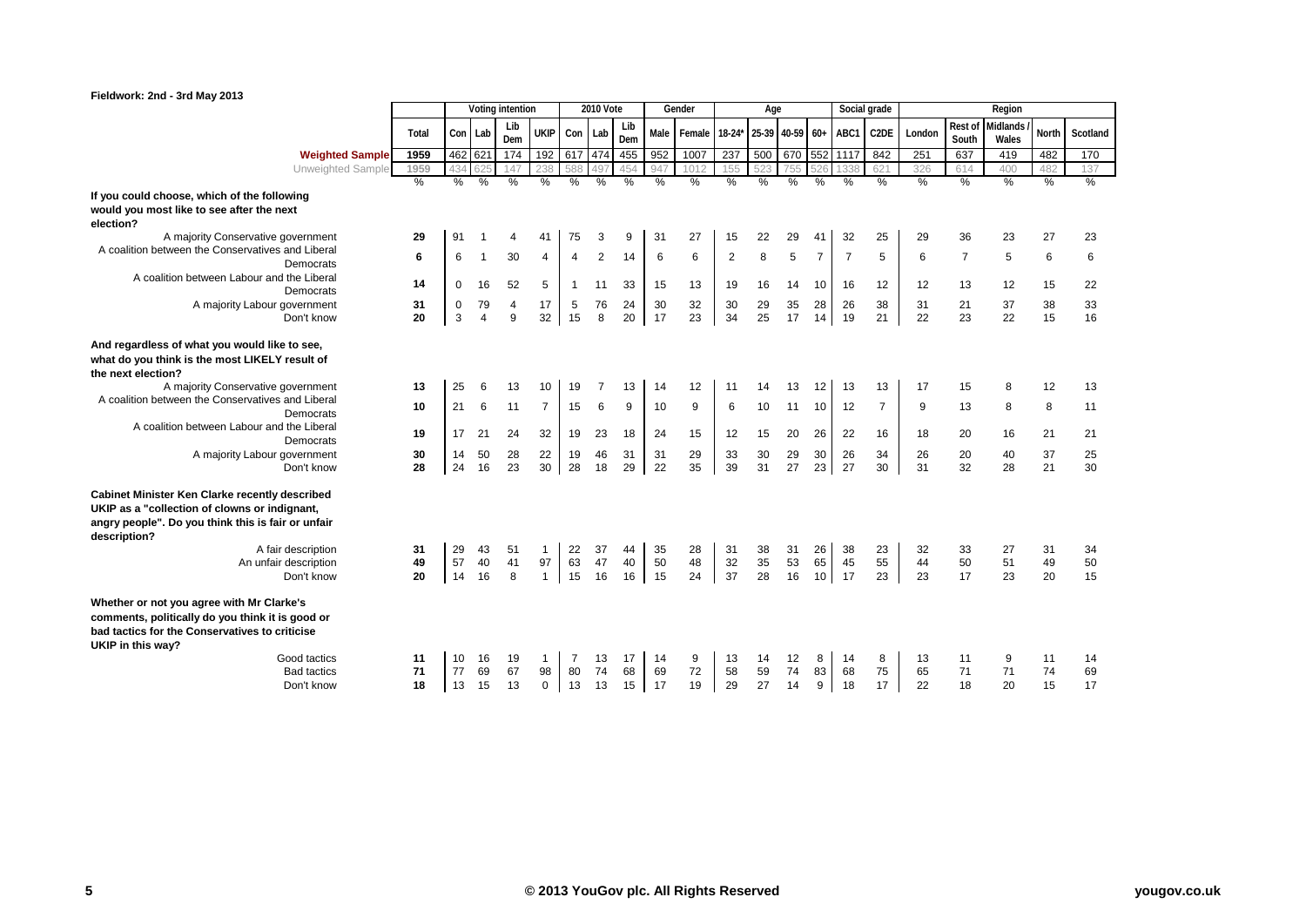|                                                                                                                                                                      |               |               |          | Voting intention |                |                | <b>2010 Vote</b> |            |          | Gender        |               | Age             |          |                 |                | Social grade      |          |                  | Region                   |          |               |
|----------------------------------------------------------------------------------------------------------------------------------------------------------------------|---------------|---------------|----------|------------------|----------------|----------------|------------------|------------|----------|---------------|---------------|-----------------|----------|-----------------|----------------|-------------------|----------|------------------|--------------------------|----------|---------------|
|                                                                                                                                                                      | Total         |               | Con Lab  | Lib<br>Dem       | <b>UKIP</b>    | Con            | Lab              | Lib<br>Dem |          | Male Female   | $18-24*$      | 25-39 40-59 60+ |          |                 | ABC1           | C <sub>2</sub> DE | London   | Rest of<br>South | <b>Midlands</b><br>Wales | North    | Scotland      |
| <b>Weighted Sample</b>                                                                                                                                               | 1959          |               | 462 621  | 174              | 192            | 617 474        |                  | 455        | 952      | 1007          | 237           | 500             |          |                 | 670 552 1117   | 842               | 251      | 637              | 419                      | 482      | 170           |
| Unweighted Sample                                                                                                                                                    | 1959          | 434           |          | 147              | 238            | 588            |                  | 454        | 947      | 1012          | 155           | 523             | 755      | 526             | 1338           | 621               | 326      | 614              | 400                      | 482      | 137           |
|                                                                                                                                                                      | $\frac{0}{2}$ | $\frac{0}{6}$ | %        | $\frac{0}{0}$    | %              | %              | %                | %          | %        | $\frac{9}{6}$ | $\frac{0}{0}$ | %               | %        | %               | %              | %                 | %        | %                | $\frac{0}{0}$            | %        | $\frac{0}{2}$ |
| If you could choose, which of the following                                                                                                                          |               |               |          |                  |                |                |                  |            |          |               |               |                 |          |                 |                |                   |          |                  |                          |          |               |
| would you most like to see after the next<br>election?                                                                                                               |               |               |          |                  |                |                |                  |            |          |               |               |                 |          |                 |                |                   |          |                  |                          |          |               |
| A majority Conservative government                                                                                                                                   | 29            | 91            |          | $\overline{4}$   | 41             | 75             | 3                | 9          | 31       | 27            | 15            | 22              | 29       | 41              | 32             | 25                | 29       | 36               | 23                       | 27       | 23            |
| A coalition between the Conservatives and Liberal                                                                                                                    | 6             | 6             |          | 30               | $\overline{4}$ | 4              | 2                | 14         | 6        | 6             | 2             | 8               | 5        | $\overline{7}$  | $\overline{7}$ | 5                 | 6        | $\overline{7}$   | 5                        | 6        | 6             |
| Democrats                                                                                                                                                            |               |               |          |                  |                |                |                  |            |          |               |               |                 |          |                 |                |                   |          |                  |                          |          |               |
| A coalition between Labour and the Liberal<br>Democrats                                                                                                              | 14            | $\Omega$      | 16       | 52               | 5              | $\mathbf{1}$   | 11               | 33         | 15       | 13            | 19            | 16              | 14       | 10              | 16             | 12                | 12       | 13               | 12                       | 15       | 22            |
| A majority Labour government                                                                                                                                         | 31            | 0             | 79       | 4                | 17             | 5              | 76               | 24         | 30       | 32            | 30            | 29              | 35       | 28              | 26             | 38                | 31       | 21               | 37                       | 38       | 33            |
| Don't know                                                                                                                                                           | 20            | 3             | $\Delta$ | 9                | 32             | 15             | 8                | 20         | 17       | 23            | 34            | 25              | 17       | 14              | 19             | 21                | 22       | 23               | 22                       | 15       | 16            |
| And regardless of what you would like to see,<br>what do you think is the most LIKELY result of                                                                      |               |               |          |                  |                |                |                  |            |          |               |               |                 |          |                 |                |                   |          |                  |                          |          |               |
| the next election?                                                                                                                                                   |               |               |          |                  |                |                |                  |            |          |               |               |                 |          |                 |                |                   |          |                  |                          |          |               |
| A majority Conservative government                                                                                                                                   | 13            | 25            | 6        | 13               | 10             | 19             | $\overline{7}$   | 13         | 14       | 12            | 11            | 14              | 13       | 12              | 13             | 13                | 17       | 15               | 8                        | 12       | 13            |
| A coalition between the Conservatives and Liberal<br>Democrats                                                                                                       | 10            | 21            | 6        | 11               | $\overline{7}$ | 15             | 6                | 9          | 10       | 9             | 6             | 10              | 11       | 10              | 12             | $\overline{7}$    | 9        | 13               | 8                        | 8        | 11            |
| A coalition between Labour and the Liberal<br>Democrats                                                                                                              | 19            | 17            | 21       | 24               | 32             | 19             | 23               | 18         | 24       | 15            | 12            | 15              | 20       | 26              | 22             | 16                | 18       | 20               | 16                       | 21       | 21            |
| A majority Labour government<br>Don't know                                                                                                                           | 30<br>28      | 14<br>24      | 50<br>16 | 28<br>23         | 22<br>30       | 19<br>28       | 46<br>18         | 31<br>29   | 31<br>22 | 29<br>35      | 33<br>39      | 30<br>31        | 29<br>27 | 30<br>23        | 26<br>27       | 34<br>30          | 26<br>31 | 20<br>32         | 40<br>28                 | 37<br>21 | 25<br>30      |
| <b>Cabinet Minister Ken Clarke recently described</b>                                                                                                                |               |               |          |                  |                |                |                  |            |          |               |               |                 |          |                 |                |                   |          |                  |                          |          |               |
| UKIP as a "collection of clowns or indignant,<br>angry people". Do you think this is fair or unfair<br>description?                                                  |               |               |          |                  |                |                |                  |            |          |               |               |                 |          |                 |                |                   |          |                  |                          |          |               |
| A fair description                                                                                                                                                   | 31            | 29            | 43       | 51               | $\mathbf{1}$   | 22             | 37               | 44         | 35       | 28            | 31            | 38              | 31       | 26              | 38             | 23                | 32       | 33               | 27                       | 31       | 34            |
| An unfair description                                                                                                                                                | 49            | 57            | 40       | 41               | 97             | 63             | 47               | 40         | 50       | 48            | 32            | 35              | 53       | 65              | 45             | 55                | 44       | 50               | 51                       | 49       | 50            |
| Don't know                                                                                                                                                           | 20            | 14            | 16       | 8                | $\mathbf{1}$   | 15             | 16               | 16         | 15       | 24            | 37            | 28              | 16       | 10 <sup>1</sup> | 17             | 23                | 23       | 17               | 23                       | 20       | 15            |
| Whether or not you agree with Mr Clarke's<br>comments, politically do you think it is good or<br>bad tactics for the Conservatives to criticise<br>UKIP in this way? |               |               |          |                  |                |                |                  |            |          |               |               |                 |          |                 |                |                   |          |                  |                          |          |               |
| Good tactics                                                                                                                                                         | 11            | 10            | 16       | 19               | $\mathbf{1}$   | $\overline{7}$ | 13               | 17         | 14       | 9             | 13            | 14              | 12       | 8               | 14             | 8                 | 13       | 11               | 9                        | 11       | 14            |
| <b>Bad tactics</b>                                                                                                                                                   | 71            | 77            | 69       | 67               | 98             | 80             | 74               | 68         | 69       | 72            | 58            | 59              | 74       | 83              | 68             | 75                | 65       | 71               | 71                       | 74       | 69            |
| Don't know                                                                                                                                                           | 18            | 13            | 15       | 13               | $\mathbf 0$    | 13             | 13               | 15         | 17       | 19            | 29            | 27              | 14       | 9               | 18             | 17                | 22       | 18               | 20                       | 15       | 17            |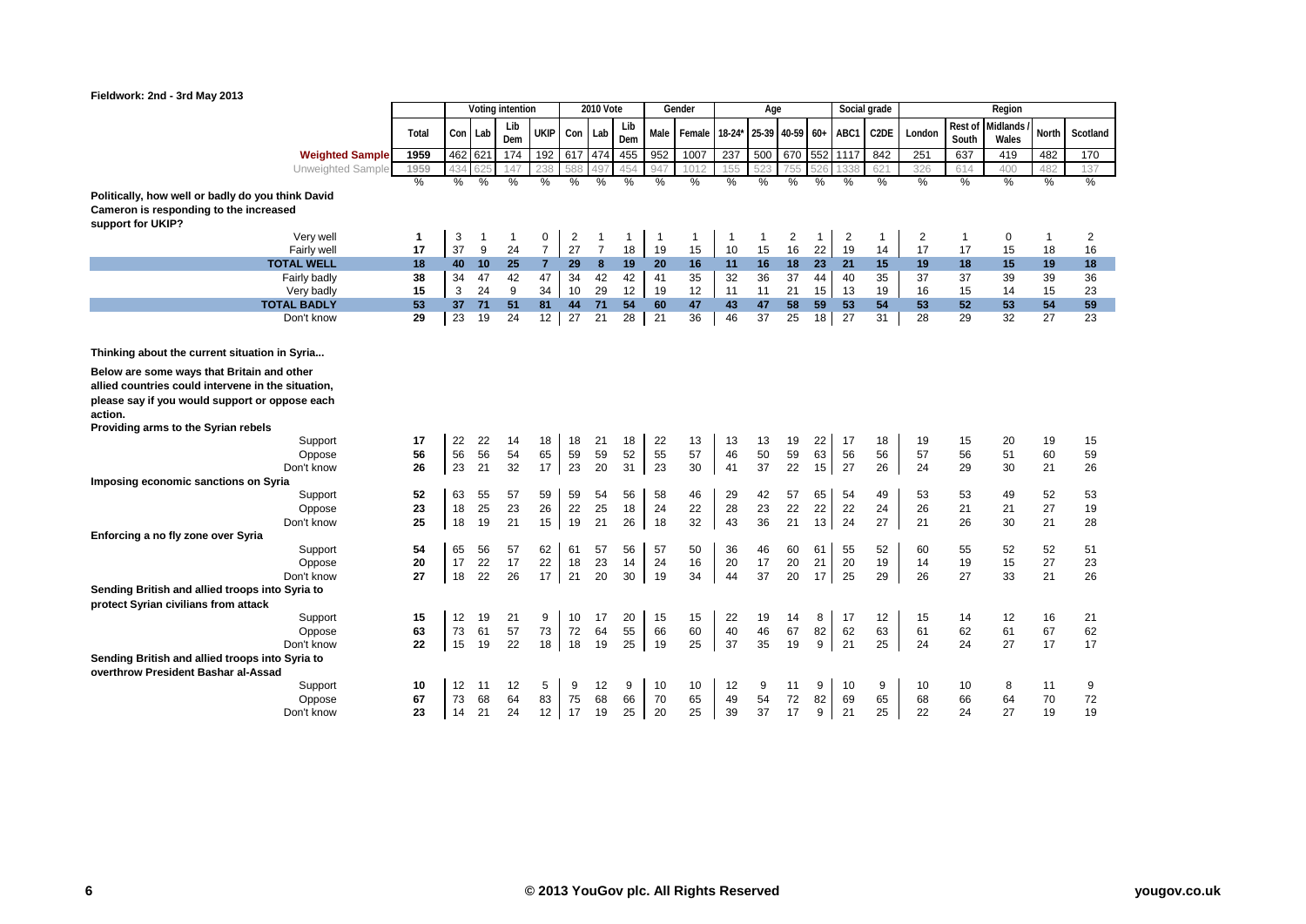

| Fieldwork: 2nd - 3rd May 2013                             |       |         |               |                  |                |         |                  |              |                |        |          |              |                 |               |               |                   |        |              |          |             | V V           |
|-----------------------------------------------------------|-------|---------|---------------|------------------|----------------|---------|------------------|--------------|----------------|--------|----------|--------------|-----------------|---------------|---------------|-------------------|--------|--------------|----------|-------------|---------------|
|                                                           |       |         |               | Voting intention |                |         | <b>2010 Vote</b> |              |                | Gender |          | Age          |                 |               | Social grade  |                   |        |              | Region   |             |               |
|                                                           |       |         |               | Lib              |                |         |                  | Lib          |                |        |          |              |                 |               |               |                   |        | Rest of      | Midlands |             |               |
|                                                           | Total | Con Lab |               | Dem              | <b>UKIP</b>    | Con     | Lab              | Dem          | Male           | Female | $18-24*$ |              | 25-39 40-59 60+ |               | ABC1          | C <sub>2</sub> DE | London | South        | Wales    | North       | Scotland      |
| <b>Weighted Sample</b>                                    | 1959  | 462 621 |               | 174              | 192            | 617 474 |                  | 455          | 952            | 1007   | 237      | 500          |                 |               | 670 552 1117  | 842               | 251    | 637          | 419      | 482         | 170           |
| Unweighted Sample                                         | 1959  |         | 625           | 147              | 238            | 588     | 497              | 454          | 947            | 1012   | 155      |              | 755             | 526           | 1338          | 621               | 326    | 614          | 400      | 482         | 137           |
|                                                           | $\%$  | %       | $\frac{0}{0}$ | $\%$             | $\%$           | %       | %                | $\%$         | $\%$           | %      | %        | %            | %               | $\frac{0}{0}$ | $\frac{9}{6}$ | $\frac{9}{6}$     | $\%$   | %            | $\%$     | %           | $\frac{9}{6}$ |
| Politically, how well or badly do you think David         |       |         |               |                  |                |         |                  |              |                |        |          |              |                 |               |               |                   |        |              |          |             |               |
| Cameron is responding to the increased                    |       |         |               |                  |                |         |                  |              |                |        |          |              |                 |               |               |                   |        |              |          |             |               |
| support for UKIP?                                         |       |         |               |                  |                |         |                  |              |                |        |          |              |                 |               |               |                   |        |              |          |             |               |
| Very well                                                 | 1     | 3       | -1            | 1                | 0              | 2       | $\mathbf{1}$     | $\mathbf{1}$ | $\overline{1}$ | 1      | -1       | $\mathbf{1}$ | 2               | 1             | 2             | $\mathbf{1}$      | 2      | $\mathbf{1}$ | 0        | $\mathbf 1$ | 2             |
| Fairly well                                               | 17    | 37      | 9             | 24               | $\overline{7}$ | 27      | $\overline{7}$   | 18           | 19             | 15     | 10       | 15           | 16              | 22            | 19            | 14                | 17     | 17           | 15       | 18          | 16            |
| <b>TOTAL WELL</b>                                         | 18    |         | 40 10         | 25               | $\overline{7}$ | 29      | 8                | 19           | 20             | 16     | 11       | 16           | 18              | 23            | 21            | 15                | 19     | 18           | 15       | 19          | 18            |
| Fairly badly                                              | 38    | 34      | 47            | 42               | 47             | 34      | 42               | 42           | 41             | 35     | 32       | 36           | 37              | 44            | 40            | 35                | 37     | 37           | 39       | 39          | 36            |
| Very badly                                                | 15    | 3       | 24            | 9                | 34             | 10      | 29               | 12           | 19             | 12     | 11       | 11           | 21              | 15            | 13            | 19                | 16     | 15           | 14       | 15          | 23            |
| <b>TOTAL BADLY</b>                                        | 53    | 37      | 71            | 51               | 81             | 44      | 71               | 54           | 60             | 47     | 43       | 47           | 58              | 59            | 53            | 54                | 53     | 52           | 53       | 54          | 59            |
| Don't know                                                | 29    | 23      | 19            | 24               | 12             | 27      | 21               | 28           | 21             | 36     | 46       | 37           | 25              | 18            | 27            | 31                | 28     | 29           | 32       | 27          | 23            |
|                                                           |       |         |               |                  |                |         |                  |              |                |        |          |              |                 |               |               |                   |        |              |          |             |               |
| Thinking about the current situation in Syria             |       |         |               |                  |                |         |                  |              |                |        |          |              |                 |               |               |                   |        |              |          |             |               |
| Below are some ways that Britain and other                |       |         |               |                  |                |         |                  |              |                |        |          |              |                 |               |               |                   |        |              |          |             |               |
| allied countries could intervene in the situation,        |       |         |               |                  |                |         |                  |              |                |        |          |              |                 |               |               |                   |        |              |          |             |               |
|                                                           |       |         |               |                  |                |         |                  |              |                |        |          |              |                 |               |               |                   |        |              |          |             |               |
| please say if you would support or oppose each<br>action. |       |         |               |                  |                |         |                  |              |                |        |          |              |                 |               |               |                   |        |              |          |             |               |
| Providing arms to the Syrian rebels                       |       |         |               |                  |                |         |                  |              |                |        |          |              |                 |               |               |                   |        |              |          |             |               |
| Support                                                   | 17    | 22      | 22            | 14               | 18             | 18      | 21               | 18           | 22             | 13     | 13       | 13           | 19              | 22            | -17           | 18                | 19     | 15           | 20       | 19          | 15            |
| Oppose                                                    | 56    | 56      | 56            | 54               | 65             | 59      | 59               | 52           | 55             | 57     | 46       | 50           | 59              | 63            | 56            | 56                | 57     | 56           | 51       | 60          | 59            |
| Don't know                                                | 26    | 23      | 21            | 32               | 17             | 23      | 20               | 31           | 23             | 30     | 41       | 37           | 22              | 15            | 27            | 26                | 24     | 29           | 30       | 21          | 26            |
| Imposing economic sanctions on Syria                      |       |         |               |                  |                |         |                  |              |                |        |          |              |                 |               |               |                   |        |              |          |             |               |
| Support                                                   | 52    | 63      | 55            | 57               | 59             | 59      | 54               | 56           | 58             | 46     | 29       | 42           | 57              | 65            | 54            | 49                | 53     | 53           | 49       | 52          | 53            |
| Oppose                                                    | 23    | 18      | 25            | 23               | 26             | 22      | 25               | 18           | 24             | 22     | 28       | 23           | 22              | 22            | 22            | 24                | 26     | 21           | 21       | 27          | 19            |
| Don't know                                                | 25    | 18      | 19            | 21               | 15             | 19      | 21               | 26           | 18             | 32     | 43       | 36           | 21              | 13            | 24            | 27                | 21     | 26           | 30       | 21          | 28            |
| Enforcing a no fly zone over Syria                        |       |         |               |                  |                |         |                  |              |                |        |          |              |                 |               |               |                   |        |              |          |             |               |
| Support                                                   | 54    | 65      | 56            | 57               | 62             | 61      | 57               | 56           | 57             | 50     | 36       | 46           | 60              | 61            | 55            | 52                | 60     | 55           | 52       | 52          | 51            |
| Oppose                                                    | 20    | 17      | 22            | 17               | 22             | 18      | 23               | 14           | 24             | 16     | 20       | 17           | 20              | 21            | 20            | 19                | 14     | 19           | 15       | 27          | 23            |
| Don't know                                                | 27    | 18      | 22            | 26               | 17             | 21      | 20               | 30           | 19             | 34     | 44       | 37           | 20              | 17            | 25            | 29                | 26     | 27           | 33       | 21          | 26            |
| Sending British and allied troops into Syria to           |       |         |               |                  |                |         |                  |              |                |        |          |              |                 |               |               |                   |        |              |          |             |               |
| protect Syrian civilians from attack                      |       |         |               |                  |                |         |                  |              |                |        |          |              |                 |               |               |                   |        |              |          |             |               |
| Support                                                   | 15    | 12      | 19            | 21               | 9              | 10      | 17               | 20           | 15             | 15     | 22       | 19           | 14              | 8             | 17            | 12                | 15     | 14           | 12       | 16          | 21            |
| Oppose                                                    | 63    | 73      | 61            | 57               | 73             | 72      | 64               | 55           | 66             | 60     | 40       | 46           | 67              | 82            | 62            | 63                | 61     | 62           | 61       | 67          | 62            |
| Don't know                                                | 22    | 15      | 19            | 22               | 18             | 18      | 19               | 25           | 19             | 25     | 37       | 35           | 19              | 9             | 21            | 25                | 24     | 24           | 27       | 17          | 17            |
| Sending British and allied troops into Syria to           |       |         |               |                  |                |         |                  |              |                |        |          |              |                 |               |               |                   |        |              |          |             |               |
| overthrow President Bashar al-Assad                       |       |         |               |                  |                |         |                  |              |                |        |          |              |                 |               |               |                   |        |              |          |             |               |
| Support                                                   | 10    | 12      | 11            | 12               | 5              | 9       | 12               | 9            | 10             | 10     | 12       | 9            | 11              | 9             | 10            | 9                 | 10     | 10           | 8        | 11          | 9             |
| Oppose                                                    | 67    | 73      | 68            | 64               | 83             | 75      | 68               | 66           | 70             | 65     | 49       | 54           | 72              | 82            | 69            | 65                | 68     | 66           | 64       | 70          | 72            |
| Don't know                                                | 23    | 14      | 21            | 24               | 12             | 17      | 19               | 25           | 20             | 25     | 39       | 37           | 17              | 9             | 21            | 25                | 22     | 24           | 27       | 19          | 19            |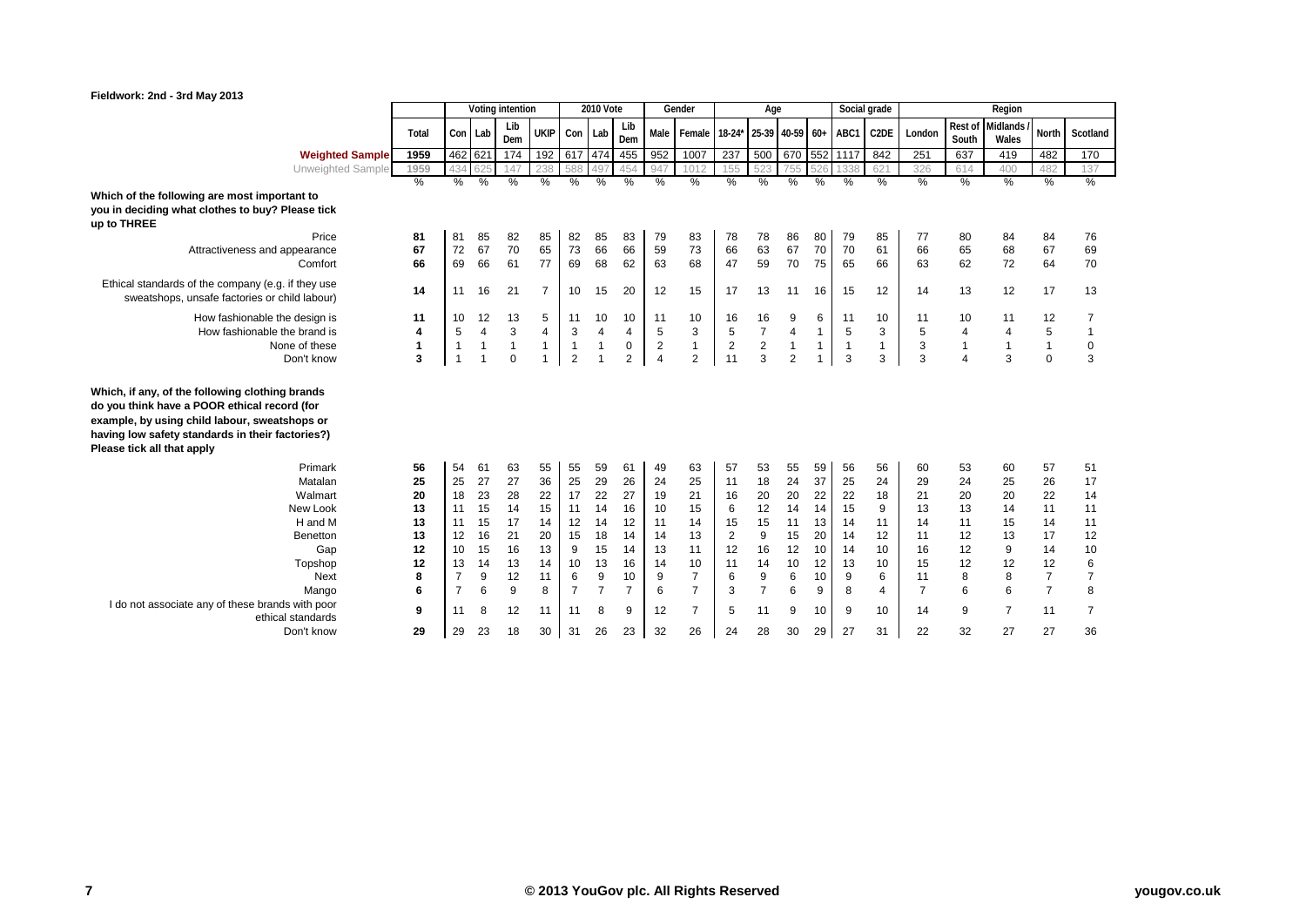

| Fieldwork: 2nd - 3rd May 2013                                                                                                                                                                                                      |               |                |               |                  |                |                |                |                |                |                    |                |                 |                |               |                |                |                |                  |                   |                |                |
|------------------------------------------------------------------------------------------------------------------------------------------------------------------------------------------------------------------------------------|---------------|----------------|---------------|------------------|----------------|----------------|----------------|----------------|----------------|--------------------|----------------|-----------------|----------------|---------------|----------------|----------------|----------------|------------------|-------------------|----------------|----------------|
|                                                                                                                                                                                                                                    |               |                |               | Voting intention |                |                | 2010 Vote      |                |                | Gender             |                | Age             |                |               |                | Social grade   |                |                  | Region            |                |                |
|                                                                                                                                                                                                                                    | Total         | Con Lab        |               | Lib<br>Dem       | <b>UKIP</b>    | Con Lab        |                | Lib<br>Dem     |                | Male Female 18-24* |                | 25-39 40-59 60+ |                |               | ABC1           | C2DE           | London         | Rest of<br>South | Midlands<br>Wales | North          | Scotland       |
| <b>Weighted Sample</b>                                                                                                                                                                                                             | 1959          | 462 621        |               | 174              | 192            | 617 474        |                | 455            | 952            | 1007               | 237            | 500             |                |               | 670 552 1117   | 842            | 251            | 637              | 419               | 482            | 170            |
| Unweighted Sample                                                                                                                                                                                                                  | 1959          | 434            |               | 147              | 238            | 588            | 497            | 454            | 94             | 1012               |                | 523             | 755            | 526           | 1338           | 621            | 326            | 614              | 400               | 482            | 137            |
|                                                                                                                                                                                                                                    | $\frac{0}{2}$ | $\frac{9}{6}$  | $\frac{0}{2}$ | $\frac{0}{2}$    | $\frac{0}{2}$  | $\frac{0}{2}$  | $\frac{9}{6}$  | $\frac{0}{2}$  | $\frac{0}{2}$  | $\frac{9}{6}$      | $\frac{0}{2}$  | $\frac{0}{0}$   | $\frac{0}{2}$  | $\frac{0}{2}$ | $\frac{0}{0}$  | $\frac{0}{2}$  | $\frac{9}{6}$  | $\frac{0}{2}$    | $\frac{0}{2}$     | $\frac{0}{6}$  | $\frac{0}{2}$  |
| Which of the following are most important to<br>you in deciding what clothes to buy? Please tick<br>up to THREE<br>Price                                                                                                           |               |                |               |                  |                |                |                |                |                |                    |                |                 |                |               |                |                |                |                  |                   |                |                |
|                                                                                                                                                                                                                                    | 81            | 81             | 85            | 82               | 85             | 82             | 85             | 83             | 79             | 83                 | 78             | 78              | 86             | 80            | 79             | 85             | 77             | 80               | 84                | 84             | 76             |
| Attractiveness and appearance<br>Comfort                                                                                                                                                                                           | 67<br>66      | 72<br>69       | 67<br>66      | 70<br>61         | 65<br>77       | 73<br>69       | 66<br>68       | 66<br>62       | 59<br>63       | 73<br>68           | 66<br>47       | 63<br>59        | 67<br>70       | 70<br>75      | 70<br>65       | 61<br>66       | 66<br>63       | 65<br>62         | 68<br>72          | 67<br>64       | 69<br>70       |
| Ethical standards of the company (e.g. if they use<br>sweatshops, unsafe factories or child labour)                                                                                                                                | 14            | 11             | 16            | 21               | $\overline{7}$ | 10             | 15             | 20             | 12             | 15                 | 17             | 13              | 11             | 16            | 15             | 12             | 14             | 13               | 12                | 17             | 13             |
| How fashionable the design is                                                                                                                                                                                                      | 11            | 10             | 12            | 13               | 5              | 11             | 10             | 10             | 11             | 10                 | 16             | 16              | 9              | 6             | 11             | 10             | 11             | 10               | 11                | 12             | 7              |
| How fashionable the brand is                                                                                                                                                                                                       | 4             | 5              | 4             | 3                | $\overline{4}$ | 3              | 4              | 4              | 5              | 3                  | 5              | $\overline{7}$  | $\overline{4}$ | $\mathbf{1}$  | 5              | 3              | 5              | 4                | 4                 | 5              | 1              |
| None of these                                                                                                                                                                                                                      | $\mathbf{1}$  | $\mathbf{1}$   |               | $\mathbf{1}$     | $\mathbf{1}$   | $\overline{1}$ | $\mathbf{1}$   | 0              | $\overline{2}$ | $\mathbf{1}$       | $\overline{2}$ | $\mathbf 2$     | $\mathbf{1}$   | $\mathbf{1}$  | $\overline{1}$ | $\mathbf{1}$   | 3              | $\mathbf{1}$     | $\mathbf{1}$      | $\mathbf{1}$   | $\mathbf 0$    |
| Don't know                                                                                                                                                                                                                         | 3             | $\overline{1}$ |               | $\mathbf 0$      |                | $\overline{2}$ |                | $\overline{2}$ | $\overline{4}$ | $\overline{2}$     | 11             | 3               | $\overline{2}$ | $\mathbf{1}$  | 3              | 3              | 3              | $\overline{4}$   | 3                 | $\mathbf 0$    | 3              |
| Which, if any, of the following clothing brands<br>do you think have a POOR ethical record (for<br>example, by using child labour, sweatshops or<br>having low safety standards in their factories?)<br>Please tick all that apply |               |                |               |                  |                |                |                |                |                |                    |                |                 |                |               |                |                |                |                  |                   |                |                |
| Primark                                                                                                                                                                                                                            | 56            | 54             | 61            | 63               | 55             | 55             | 59             | 61             | 49             | 63                 | 57             | 53              | 55             | 59            | 56             | 56             | 60             | 53               | 60                | 57             | 51             |
| Matalan                                                                                                                                                                                                                            | 25            | 25             | 27            | 27               | 36             | 25             | 29             | 26             | 24             | 25                 | 11             | 18              | 24             | 37            | 25             | 24             | 29             | 24               | 25                | 26             | 17             |
| Walmart                                                                                                                                                                                                                            | 20            | 18             | 23            | 28               | 22             | 17             | 22             | 27             | 19             | 21                 | 16             | 20              | 20             | 22            | 22             | 18             | 21             | 20               | 20                | 22             | 14             |
| New Look                                                                                                                                                                                                                           | 13            | 11             | 15            | 14               | 15             | 11             | 14             | 16             | 10             | 15                 | 6              | 12              | 14             | 14            | 15             | 9              | 13             | 13               | 14                | 11             | 11             |
| H and M                                                                                                                                                                                                                            | 13            | 11             | 15            | 17               | 14             | 12             | 14             | 12             | 11             | 14                 | 15             | 15              | 11             | 13            | 14             | 11             | 14             | 11               | 15                | 14             | 11             |
| <b>Benetton</b>                                                                                                                                                                                                                    | 13            | 12             | 16            | 21               | 20             | 15             | 18             | 14             | 14             | 13                 | $\overline{2}$ | 9               | 15             | 20            | 14             | 12             | 11             | 12               | 13                | 17             | 12             |
| Gap                                                                                                                                                                                                                                | 12            | 10             | 15            | 16               | 13             | 9              | 15             | 14             | 13             | 11                 | 12             | 16              | 12             | 10            | 14             | 10             | 16             | 12               | 9                 | 14             | 10             |
| Topshop                                                                                                                                                                                                                            | 12            | 13             | 14            | 13               | 14             | 10             | 13             | 16             | 14             | 10                 | 11             | 14              | 10             | 12            | 13             | 10             | 15             | 12               | 12                | 12             | 6              |
| Next                                                                                                                                                                                                                               | 8             | $\overline{7}$ | 9             | 12               | 11             | 6              | 9              | 10             | 9              | $\overline{7}$     | 6              | 9               | 6              | 10            | 9              | 6              | 11             | 8                | 8                 | 7              | $\overline{7}$ |
| Mango                                                                                                                                                                                                                              | 6             | $\overline{7}$ | 6             | 9                | 8              | $\overline{7}$ | $\overline{7}$ | $\overline{7}$ | 6              | $\overline{7}$     | 3              | $\overline{7}$  | 6              | 9             | 8              | $\overline{4}$ | $\overline{7}$ | 6                | 6                 | $\overline{7}$ | 8              |
| I do not associate any of these brands with poor<br>ethical standards                                                                                                                                                              | 9             | 11             | 8             | 12               | 11             | 11             | 8              | 9              | 12             | $\overline{7}$     | 5              | 11              | 9              | 10            | 9              | 10             | 14             | 9                | $\overline{7}$    | 11             | 7              |
| Don't know                                                                                                                                                                                                                         | 29            | 29             | 23            | 18               | 30             | 31             | 26             | 23             | 32             | 26                 | 24             | 28              | 30             | 29            | 27             | 31             | 22             | 32               | 27                | 27             | 36             |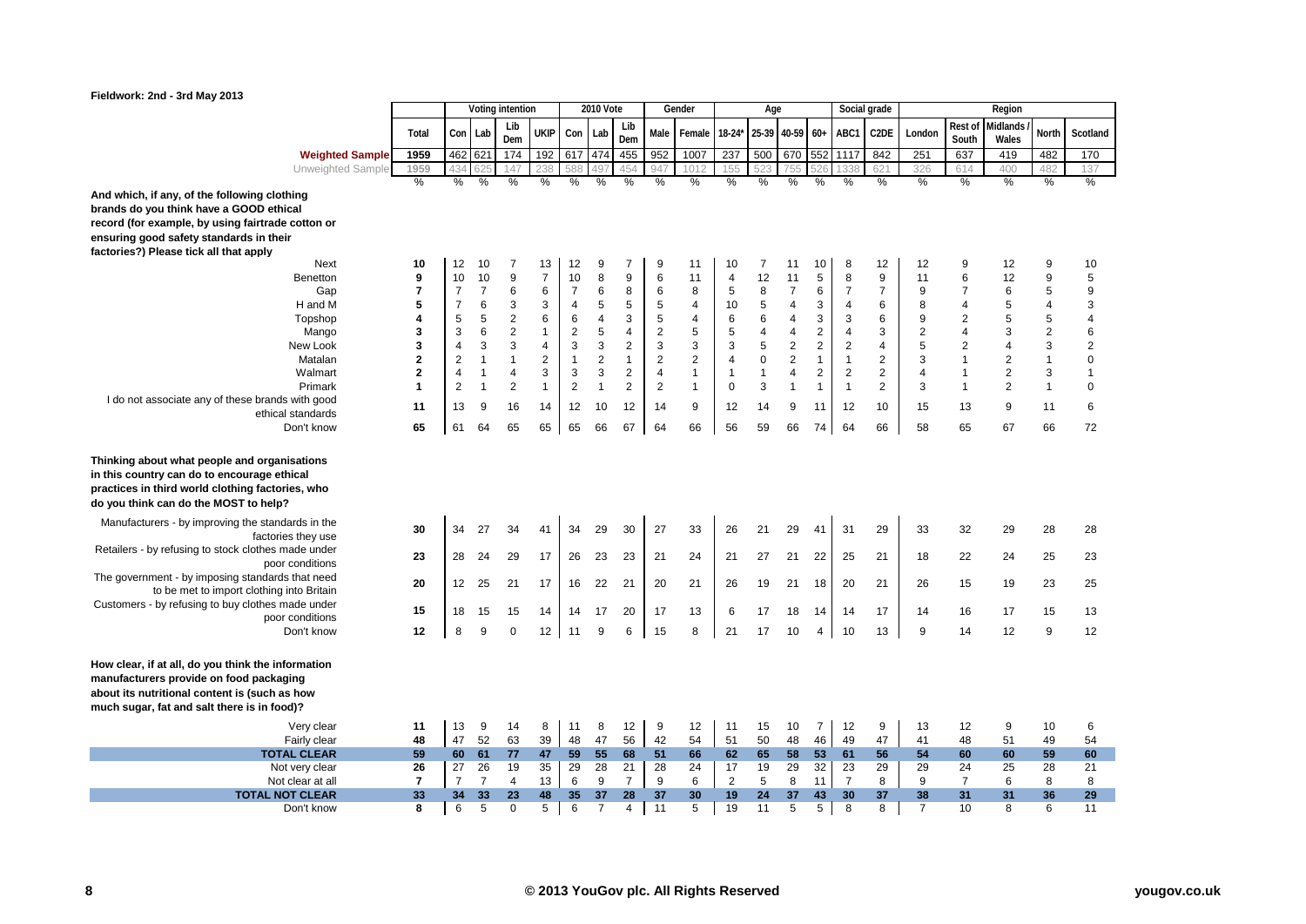

|                                                                                                                                                                                               |                         |                      |                      | Voting intention |                |                | <b>2010 Vote</b> |                         |                         | Gender         |                      | Age            |                |                |                      | Social grade      |                  |                         | Region            |                |                |
|-----------------------------------------------------------------------------------------------------------------------------------------------------------------------------------------------|-------------------------|----------------------|----------------------|------------------|----------------|----------------|------------------|-------------------------|-------------------------|----------------|----------------------|----------------|----------------|----------------|----------------------|-------------------|------------------|-------------------------|-------------------|----------------|----------------|
|                                                                                                                                                                                               | Total                   | Con Lab              |                      | Lib<br>Dem       | ukip           | Con            | Lab              | Lib<br>Dem              | Male                    | Female         | $18-24*$             | 25-39          | 40-59          | $60+$          | ABC1                 | C <sub>2</sub> DE | London           | Rest of<br>South        | Midlands<br>Wales | North          | Scotland       |
| <b>Weighted Sample</b>                                                                                                                                                                        | 1959                    | 462 621              |                      | 174              | 192            | 617            | 474              | 455                     | 952                     | 1007           | 237                  | 500            | 670            | 552            | 1117                 | 842               | 251              | 637                     | 419               | 482            | 170            |
| Unweighted Sample                                                                                                                                                                             | 1959                    | 434                  | 62                   | 147              | 238            | 588            | 497              | 454                     | 947                     | 1012           | 155                  | 523            | 755            | 526            | 1338                 | 621               | 326              | 614                     | 400               | 482            | 137            |
|                                                                                                                                                                                               | $\frac{9}{6}$           | %                    | %                    | $\frac{0}{2}$    | $\frac{9}{6}$  | %              | %                | %                       | %                       | %              | %                    | %              | %              | $\frac{0}{0}$  | $\frac{0}{2}$        | %                 | %                | %                       | %                 | %              | %              |
| And which, if any, of the following clothing                                                                                                                                                  |                         |                      |                      |                  |                |                |                  |                         |                         |                |                      |                |                |                |                      |                   |                  |                         |                   |                |                |
| brands do you think have a GOOD ethical                                                                                                                                                       |                         |                      |                      |                  |                |                |                  |                         |                         |                |                      |                |                |                |                      |                   |                  |                         |                   |                |                |
| record (for example, by using fairtrade cotton or                                                                                                                                             |                         |                      |                      |                  |                |                |                  |                         |                         |                |                      |                |                |                |                      |                   |                  |                         |                   |                |                |
| ensuring good safety standards in their                                                                                                                                                       |                         |                      |                      |                  |                |                |                  |                         |                         |                |                      |                |                |                |                      |                   |                  |                         |                   |                |                |
| factories?) Please tick all that apply<br>Next                                                                                                                                                | 10                      | 12                   | 10                   | 7                | 13             | 12             | 9                | 7                       | 9                       | 11             | 10                   | 7              | 11             | 10             | 8                    | 12                | 12               | 9                       | 12                | 9              | 10             |
| Benetton                                                                                                                                                                                      | 9                       | 10                   | 10                   | 9                | $\overline{7}$ | 10             | 8                | 9                       | 6                       | 11             | 4                    | 12             | 11             | 5              | 8                    | 9                 | 11               | 6                       | 12                | 9              | 5              |
| Gap                                                                                                                                                                                           | $\overline{\mathbf{r}}$ | $\overline{7}$       | $\overline{7}$       | 6                | 6              | $\overline{7}$ | 6                | 8                       | 6                       | 8              | 5                    | 8              | $\overline{7}$ | 6              | $\overline{7}$       | $\overline{7}$    | $\boldsymbol{9}$ | $\overline{7}$          | 6                 | 5              | 9              |
| H and M                                                                                                                                                                                       | 5                       | $\overline{7}$       | 6                    | 3                | 3              | $\overline{4}$ | 5                | 5                       | 5                       | $\overline{4}$ | 10                   | $\sqrt{5}$     | 4              | 3              | 4                    | 6                 | 8                | 4                       | 5                 | 4              | 3              |
| Topshop                                                                                                                                                                                       | 4                       | 5                    | 5                    | $\boldsymbol{2}$ | 6              | 6              | 4                | 3                       | 5                       | $\overline{4}$ | 6                    | 6              | 4              | 3              | 3                    | 6                 | 9                | $\overline{\mathbf{c}}$ | 5                 | $\overline{5}$ | $\overline{4}$ |
| Mango                                                                                                                                                                                         | 3                       | 3                    | 6                    | $\overline{2}$   | $\mathbf{1}$   | $\overline{2}$ | 5                | $\overline{\mathbf{4}}$ | $\overline{2}$          | 5              | 5                    | $\overline{4}$ | $\overline{4}$ | $\overline{2}$ | $\overline{4}$       | 3                 | $\overline{2}$   | $\overline{4}$          | 3                 | $\mathbf 2$    | 6              |
| New Look                                                                                                                                                                                      | 3                       | $\overline{4}$       | 3                    | 3                | 4              | 3              | 3                | $\mathbf 2$             | 3                       | 3              | 3                    | $\sqrt{5}$     | $\sqrt{2}$     | $\overline{2}$ | $\overline{2}$       | $\overline{4}$    | $\sqrt{5}$       | $\overline{2}$          | $\overline{4}$    | 3              | $\overline{2}$ |
| Matalan                                                                                                                                                                                       | $\mathbf 2$             | $\sqrt{2}$           | $\mathbf{1}$         | $\mathbf{1}$     | $\overline{2}$ | $\mathbf{1}$   | $\overline{2}$   | $\mathbf{1}$            | $\overline{2}$          | $\overline{2}$ | $\overline{4}$       | $\mathbf 0$    | $\overline{2}$ | $\mathbf{1}$   | $\mathbf{1}$         | $\overline{c}$    | $\sqrt{3}$       | $\overline{1}$          | $\sqrt{2}$        | $\mathbf{1}$   | $\mathbf 0$    |
| Walmart                                                                                                                                                                                       | $\mathbf{2}$            | 4                    | $\mathbf{1}$         | $\overline{4}$   | 3              | 3              | 3                | $\overline{2}$          | $\overline{\mathbf{4}}$ | $\mathbf{1}$   | 1                    | $\mathbf{1}$   | $\overline{4}$ | $\overline{2}$ | $\overline{2}$       | $\overline{2}$    | $\overline{4}$   | $\mathbf{1}$            | $\overline{2}$    | 3              | $\mathbf{1}$   |
| Primark                                                                                                                                                                                       | 1                       | $\overline{2}$       | $\mathbf{1}$         | $\boldsymbol{2}$ | $\mathbf{1}$   | $\overline{2}$ | $\mathbf{1}$     | $\overline{2}$          | $\overline{2}$          | $\mathbf{1}$   | $\mathbf 0$          | 3              | $\overline{1}$ | $\overline{1}$ | $\mathbf{1}$         | $\overline{2}$    | 3                | $\overline{1}$          | $\overline{2}$    | $\mathbf{1}$   | $\mathbf 0$    |
| I do not associate any of these brands with good<br>ethical standards                                                                                                                         | 11                      | 13                   | 9                    | 16               | 14             | 12             | 10               | 12                      | 14                      | 9              | 12                   | 14             | 9              | 11             | 12                   | 10                | 15               | 13                      | 9                 | 11             | 6              |
| Don't know                                                                                                                                                                                    | 65                      | 61                   | 64                   | 65               | 65             | 65             | 66               | 67                      | 64                      | 66             | 56                   | 59             | 66             | 74             | 64                   | 66                | 58               | 65                      | 67                | 66             | 72             |
| Thinking about what people and organisations<br>in this country can do to encourage ethical<br>practices in third world clothing factories, who<br>do you think can do the MOST to help?      |                         |                      |                      |                  |                |                |                  |                         |                         |                |                      |                |                |                |                      |                   |                  |                         |                   |                |                |
| Manufacturers - by improving the standards in the<br>factories they use                                                                                                                       | 30                      | 34                   | 27                   | 34               | 41             | 34             | 29               | 30                      | 27                      | 33             | 26                   | 21             | 29             | 41             | 31                   | 29                | 33               | 32                      | 29                | 28             | 28             |
| Retailers - by refusing to stock clothes made under<br>poor conditions                                                                                                                        | 23                      | 28                   | 24                   | 29               | 17             | 26             | 23               | 23                      | 21                      | 24             | 21                   | 27             | 21             | 22             | 25                   | 21                | 18               | 22                      | 24                | 25             | 23             |
| The government - by imposing standards that need<br>to be met to import clothing into Britain                                                                                                 | 20                      | $12 \overline{ }$    | 25                   | 21               | 17             | 16             | 22               | 21                      | 20                      | 21             | 26                   | 19             | 21             | 18             | 20                   | 21                | 26               | 15                      | 19                | 23             | 25             |
| Customers - by refusing to buy clothes made under                                                                                                                                             | 15                      | 18                   | 15                   | 15               | 14             | 14             | 17               | 20                      | 17                      | 13             | 6                    | 17             | 18             | 14             | 14                   | 17                | 14               | 16                      | 17                | 15             | 13             |
| poor conditions<br>Don't know                                                                                                                                                                 | 12                      | 8                    | 9                    | $\mathbf 0$      | 12             | 11             | 9                | 6                       | 15                      | 8              | 21                   | 17             | 10             | $\overline{4}$ | 10                   | 13                | 9                | 14                      | 12                | 9              | 12             |
| How clear, if at all, do you think the information<br>manufacturers provide on food packaging<br>about its nutritional content is (such as how<br>much sugar, fat and salt there is in food)? |                         |                      |                      |                  |                |                |                  |                         |                         |                |                      |                |                |                |                      |                   |                  |                         |                   |                |                |
| Very clear                                                                                                                                                                                    | 11                      | 13                   | 9                    | 14               | 8              | 11             | 8                | 12                      | 9                       | 12             | 11                   | 15             | 10             | $\overline{7}$ | 12                   | 9                 | 13               | 12                      | 9                 | 10             | 6              |
| Fairly clear                                                                                                                                                                                  | 48                      | 47                   | 52                   | 63               | 39             | 48             | 47               | 56                      | 42                      | 54             | 51                   | 50             | 48             | 46             | 49                   | 47                | 41               | 48                      | 51                | 49             | 54             |
| <b>TOTAL CLEAR</b>                                                                                                                                                                            | 59                      | 60                   | 61                   | 77               | 47<br>35       | 59             | 55               | 68                      | 51                      | 66             | 62                   | 65             | 58<br>29       | 53             | 61                   | 56                | 54               | 60                      | 60                | 59             | 60             |
| Not very clear<br>Not clear at all                                                                                                                                                            | 26<br>7                 | 27<br>$\overline{7}$ | 26<br>$\overline{7}$ | 19<br>4          | 13             | 29<br>6        | 28<br>9          | 21<br>$\overline{7}$    | 28<br>9                 | 24<br>6        | 17<br>$\overline{2}$ | 19<br>5        | 8              | 32<br>11       | 23<br>$\overline{7}$ | 29<br>8           | 29<br>9          | 24<br>$\overline{7}$    | 25<br>6           | 28<br>8        | 21<br>8        |
| <b>TOTAL NOT CLEAR</b>                                                                                                                                                                        | 33                      | 34                   | 33                   | 23               | 48             | 35             | 37               | 28                      | 37                      | 30             | 19                   | 24             | 37             | 43             | 30                   | 37                | 38               | 31                      | 31                | 36             | 29             |
| Don't know                                                                                                                                                                                    | 8                       | 6                    | 5                    | $\Omega$         | 5              | 6              | $\overline{7}$   | 4                       | 11                      | 5              | 19                   | 11             | 5              | 5              | 8                    | 8                 | $\overline{7}$   | 10                      | 8                 | 6              | 11             |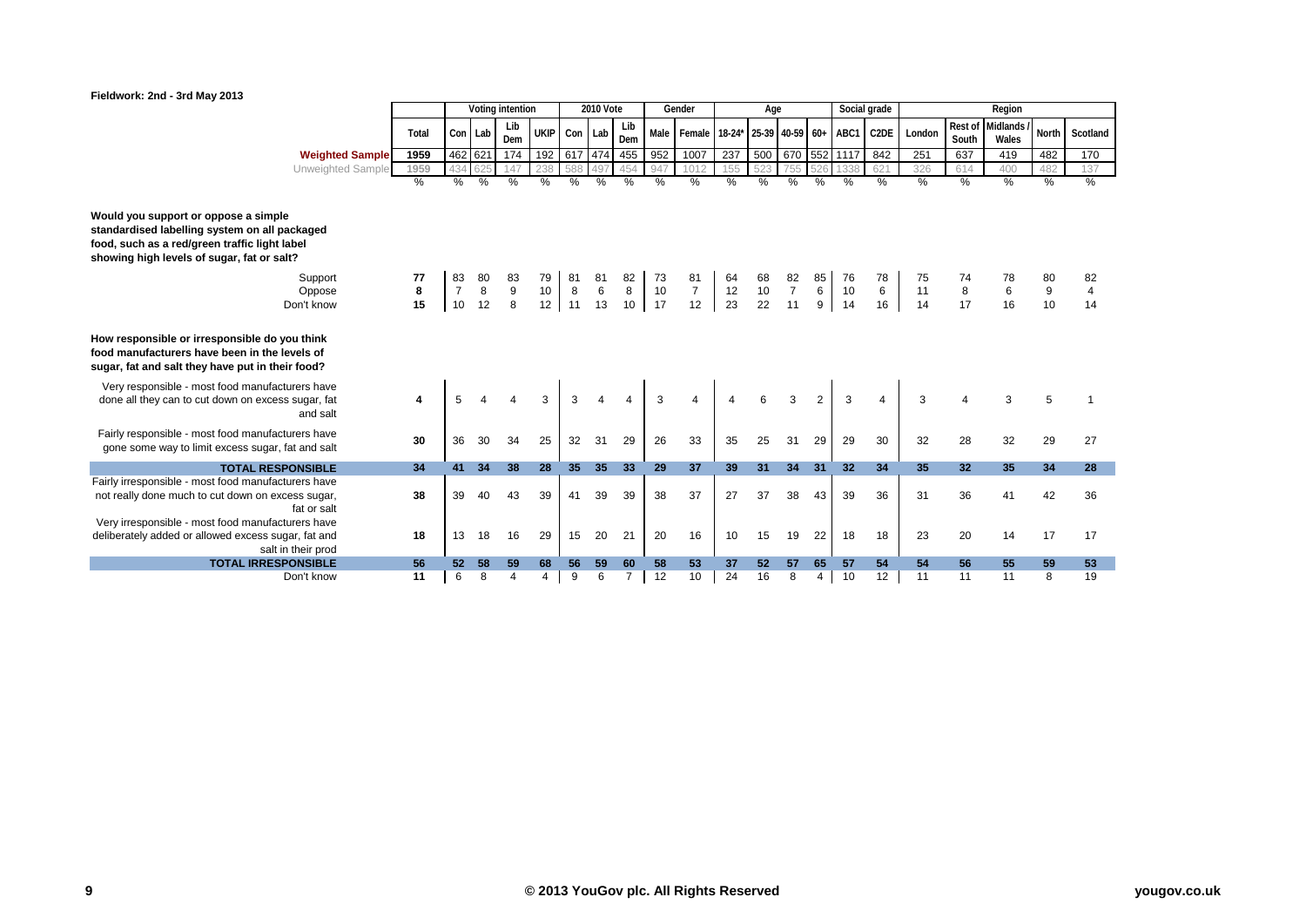

|                                                                                                                                                                                      |               |                 |     | Voting intention |             |                 | <b>2010 Vote</b> |                                        |          | Gender                             |     | Age    |                |                | Social grade  |                   |        |                 | Region                                 |                                        |                |
|--------------------------------------------------------------------------------------------------------------------------------------------------------------------------------------|---------------|-----------------|-----|------------------|-------------|-----------------|------------------|----------------------------------------|----------|------------------------------------|-----|--------|----------------|----------------|---------------|-------------------|--------|-----------------|----------------------------------------|----------------------------------------|----------------|
|                                                                                                                                                                                      | Total         | Con Lab         |     | Lib<br>Dem       | <b>UKIP</b> | Con Lab         |                  | Lib<br>Dem                             | Male     | Female 18-24* 25-39 40-59 60+ ABC1 |     |        |                |                |               | C <sub>2</sub> DE | London | South           | Rest of Midlands<br>Wales              | North                                  | Scotland       |
| <b>Weighted Sample</b>                                                                                                                                                               | 1959          | 462 621         |     | 174              | 192         | 617 474         |                  | 455                                    | 952      | 1007                               | 237 | 500    |                |                | 670 552 1117  | 842               | 251    | 637             | 419                                    | 482                                    | 170            |
| Unweighted Sample                                                                                                                                                                    | 1959          | 434             | 625 | 147              |             | 588             | 497              | 454                                    | 947      | 1012                               | 155 |        |                |                |               | 621               | 326    | 614             | 400                                    | 482                                    | 137            |
|                                                                                                                                                                                      | $\frac{9}{6}$ | %               | %   | $\%$             | %           | $\%$            | %                | %                                      | %        | %                                  | %   | %      | %              | %              | $\frac{0}{0}$ | $\%$              | %      | %               | $\frac{9}{6}$                          | %                                      | %              |
| Would you support or oppose a simple<br>standardised labelling system on all packaged<br>food, such as a red/green traffic light label<br>showing high levels of sugar, fat or salt? |               |                 |     |                  |             |                 |                  |                                        |          |                                    |     |        |                |                |               |                   |        |                 |                                        |                                        |                |
| Support                                                                                                                                                                              | 77            | 83              | 80  |                  | 79          | 81              | 81               |                                        |          | 81                                 | 64  | 68     | 82             |                |               | 78                |        |                 |                                        |                                        | 82             |
| Oppose                                                                                                                                                                               | 8             | $\overline{7}$  | 8   | 9                | 10          | $\bf 8$         | $\,6$            | $\begin{array}{c} 82 \\ 8 \end{array}$ | 73<br>10 | $\overline{7}$                     | 12  | $10\,$ | $\overline{7}$ | 6              | 76<br>10      | 6                 | 11     | 74<br>8<br>17   | $\begin{array}{c} 6 \\ 16 \end{array}$ | $\begin{array}{c} 9 \\ 10 \end{array}$ | $\overline{4}$ |
| Don't know                                                                                                                                                                           | 15            | 10              | 12  | 8                | 12          | 11              | 13               | 10                                     | 17       | 12                                 | 23  | 22     | 11             | 9              | 14            | 16                | 14     |                 |                                        |                                        | 14             |
| How responsible or irresponsible do you think<br>food manufacturers have been in the levels of<br>sugar, fat and salt they have put in their food?                                   |               |                 |     |                  |             |                 |                  |                                        |          |                                    |     |        |                |                |               |                   |        |                 |                                        |                                        |                |
| Very responsible - most food manufacturers have<br>done all they can to cut down on excess sugar, fat<br>and salt                                                                    |               |                 |     |                  | 3           |                 |                  |                                        | 3        | 4                                  |     |        | 3              | $\overline{2}$ | 3             |                   | 3      |                 |                                        |                                        |                |
| Fairly responsible - most food manufacturers have<br>gone some way to limit excess sugar, fat and salt                                                                               | 30            | 36              | 30  | 34               | 25          | 32              | 31               | 29                                     | 26       | 33                                 | 35  | 25     | 31             | 29             | 29            | 30                | 32     | 28              | 32                                     | 29                                     | 27             |
| <b>TOTAL RESPONSIBLE</b>                                                                                                                                                             | 34            | 41              | 34  | 38               | 28          | 35 <sub>2</sub> | 35               | 33                                     | 29       | 37                                 | 39  | 31     | 34             | 31             | 32            | 34                | 35     | 32 <sub>2</sub> | 35                                     | 34                                     | 28             |
| Fairly irresponsible - most food manufacturers have                                                                                                                                  |               |                 |     |                  |             |                 |                  |                                        |          |                                    |     |        |                |                |               |                   |        |                 |                                        |                                        |                |
| not really done much to cut down on excess sugar,<br>fat or salt                                                                                                                     | 38            | 39              | 40  | 43               | 39          | 41              | 39               | 39                                     | 38       | 37                                 | 27  | 37     | 38             | 43             | 39            | 36                | 31     | 36              | 41                                     | 42                                     | 36             |
| Very irresponsible - most food manufacturers have                                                                                                                                    |               |                 |     |                  |             |                 |                  |                                        |          |                                    |     |        |                |                |               |                   |        |                 |                                        |                                        |                |
| deliberately added or allowed excess sugar, fat and<br>salt in their prod                                                                                                            | 18            | 13              | 18  | 16               | 29          | 15              | 20               | 21                                     | 20       | 16                                 | 10  | 15     | 19             | 22             | 18            | 18                | 23     | 20              | 14                                     | 17                                     | 17             |
| <b>TOTAL IRRESPONSIBLE</b>                                                                                                                                                           | 56            | 52 <sub>2</sub> | 58  | 59               | 68          | 56              | 59               | 60                                     | 58       | 53                                 | 37  | 52     | 57             | 65             | 57            | 54                | 54     | 56              | 55                                     | 59                                     | 53             |
| Don't know                                                                                                                                                                           | 11            | 6               | 8   | 4                | 4           | 9               | 6                | $\overline{7}$                         | 12       | 10                                 | 24  | 16     | 8              | 4              | 10            | 12                | 11     | 11              | 11                                     | 8                                      | 19             |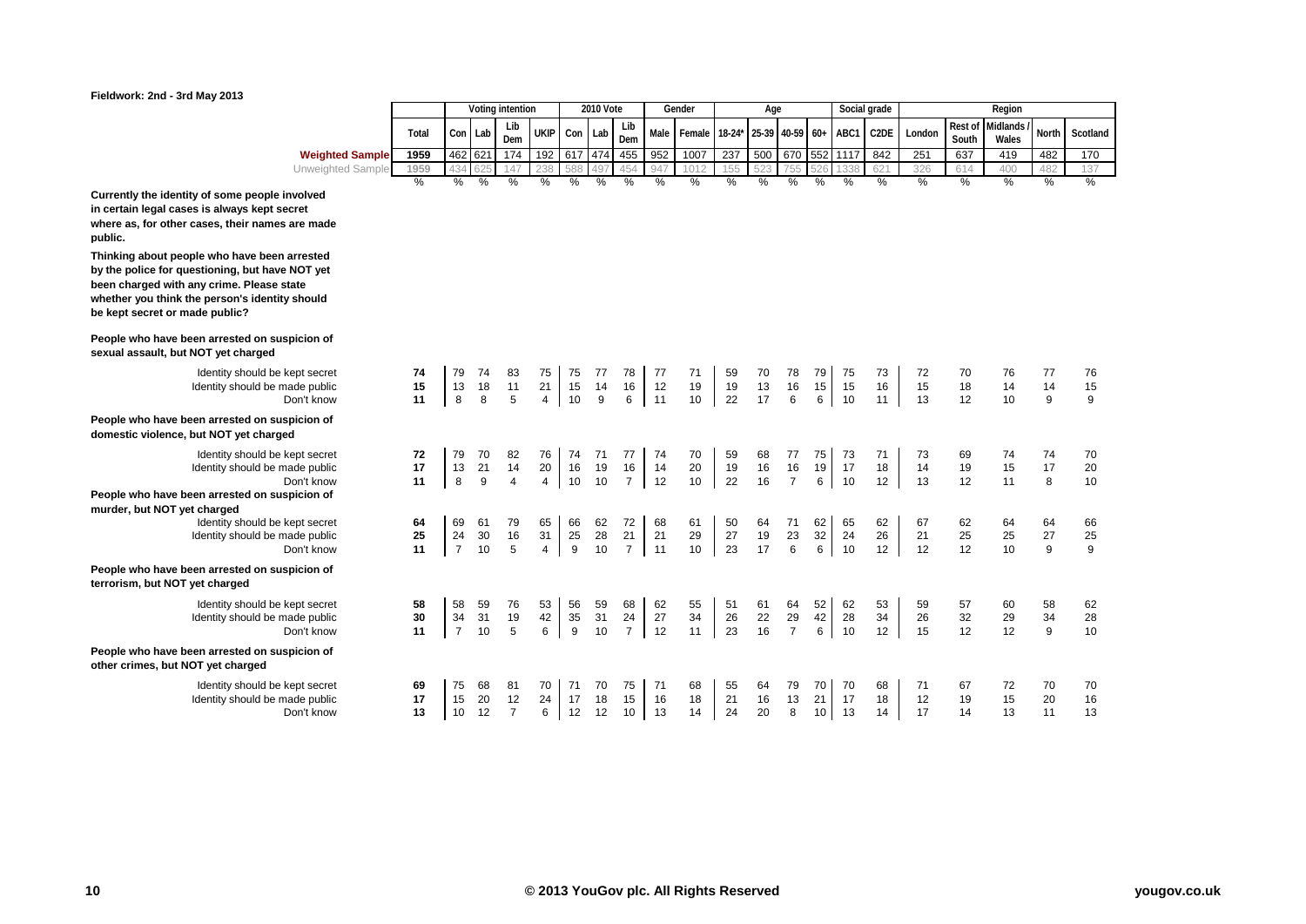

|                        |       |         |         | Voting intention |             |         | 2010 Vote |            |              | Gender                                  |     | Age |                  |   |     | Social grade      |          |       | Region                      |       |          |
|------------------------|-------|---------|---------|------------------|-------------|---------|-----------|------------|--------------|-----------------------------------------|-----|-----|------------------|---|-----|-------------------|----------|-------|-----------------------------|-------|----------|
|                        | Total |         | Con Lab | Lib<br>Dem       | <b>UKIP</b> | Con Lab |           | Lib<br>Dem |              | Male Female 18-24* 25-39 40-59 60+ ABC1 |     |     |                  |   |     | $\overline{C2DE}$ | London I | South | Rest of Midlands /<br>Wales | North | Scotland |
| <b>Weighted Sample</b> | 1959  | 462 621 |         | 174              | 192         | 617 474 |           | 455        | 952          | 1007                                    | 237 |     | 500 670 552 1117 |   |     | 842               | 251      | 637   | 419                         | 482   | 170      |
| Unweighted Sample      | 1959  |         |         | 147              | 238         | 588     | , 497     | 454        | $Q_{\Delta}$ | $101^{\circ}$                           | 155 | 52' | フトト              |   | 338 | 621               | 326      | 614   | 400                         | 482   | 137      |
|                        | %     | %       | %       | %                | %           | %       | %         | %          | %            | %                                       | %   | %   | %                | % | %   | %                 | %        | %     | %                           | %     | %        |

**Currently the identity of some people involved in certain legal cases is always kept secret where as, for other cases, their names are made public.**

**Thinking about people who have been arrested by the police for questioning, but have NOT yet been charged with any crime. Please state whether you think the person's identity should be kept secret or made public?**

**People who have been arrested on suspicion of sexual assault, but NOT yet charged**

> Identity should be kept secret Identity should be made public<br>Don't know

**People who have been arrested on suspicion of domestic violence, but NOT yet charged**

Identity should be kept secret Identity should be made public<br>Don't know **People who have been arrested on suspicion of** 

**murder, but NOT yet charged Identity should be kept secret** 

Identity should be made public<br>Don't know

**People who have been arrested on suspicion of terrorism, but NOT yet charged**

> Identity should be kept secret Identity should be made public<br>Don't know

**People who have been arrested on suspicion of other crimes, but NOT yet charged**

> Identity should be kept secret Identity should be made public<br>Don't know

| kept secret<br>ade public<br>Don't know               | 74<br>15<br>11 | 79<br>13<br>8              | 74<br>18<br>8                | 83<br>11<br>5                       | 75<br>21<br>$\overline{4}$ | 75<br>15<br>10 | 77<br>14<br>9  | 78<br>16<br>6              | 77<br>12<br>11 | 71<br>19<br>10 | 59<br>19<br>22 | 70<br>13<br>17        | 78<br>16<br>6              | 79<br>15<br>6  | 75<br>15<br>10 | 73<br>16<br>11 | 72<br>15<br>13 | 70<br>18<br>12 | 76<br>14<br>10 | 77<br>14<br>9  | 76<br>15<br>9  |
|-------------------------------------------------------|----------------|----------------------------|------------------------------|-------------------------------------|----------------------------|----------------|----------------|----------------------------|----------------|----------------|----------------|-----------------------|----------------------------|----------------|----------------|----------------|----------------|----------------|----------------|----------------|----------------|
| spicion of<br>ed                                      |                |                            |                              |                                     |                            |                |                |                            |                |                |                |                       |                            |                |                |                |                |                |                |                |                |
| kept secret<br>ade public<br>Don't know<br>spicion of | 72<br>17<br>11 | 79<br>13<br>8              | 70<br>21<br>$\boldsymbol{9}$ | 82<br>14<br>$\overline{\mathbf{4}}$ | 76<br>20<br>$\overline{4}$ | 74<br>16<br>10 | 71<br>19<br>10 | 77<br>16<br>$\overline{7}$ | 74<br>14<br>12 | 70<br>20<br>10 | 59<br>19<br>22 | 68<br>16<br>16        | 77<br>16<br>$\overline{7}$ | 75<br>19<br>6  | 73<br>17<br>10 | 71<br>18<br>12 | 73<br>14<br>13 | 69<br>19<br>12 | 74<br>15<br>11 | 74<br>17<br>8  | 70<br>20<br>10 |
| kept secret<br>ade public<br>Don't know               | 64<br>25<br>11 | 69<br>24<br>$\overline{7}$ | 61<br>30<br>10               | 79<br>16<br>5                       | 65<br>31<br>$\overline{4}$ | 66<br>25<br>9  | 62<br>28<br>10 | 72<br>21<br>$\overline{7}$ | 68<br>21<br>11 | 61<br>29<br>10 | 50<br>27<br>23 | 64<br>19<br>17        | 71<br>23<br>6              | 62<br>32<br>6  | 65<br>24<br>10 | 62<br>26<br>12 | 67<br>21<br>12 | 62<br>25<br>12 | 64<br>25<br>10 | 64<br>27<br>9  | 66<br>25<br>9  |
| spicion of                                            |                |                            |                              |                                     |                            |                |                |                            |                |                |                |                       |                            |                |                |                |                |                |                |                |                |
| kept secret<br>ade public<br>Don't know               | 58<br>30<br>11 | 58<br>34<br>$\overline{7}$ | 59<br>31<br>10               | 76<br>19<br>5                       | 53<br>42<br>6              | 56<br>35<br>9  | 59<br>31<br>10 | 68<br>24<br>$\overline{7}$ | 62<br>27<br>12 | 55<br>34<br>11 | 51<br>26<br>23 | $\frac{61}{22}$<br>16 | 64<br>29<br>$\overline{7}$ | 52<br>42<br>6  | 62<br>28<br>10 | 53<br>34<br>12 | 59<br>26<br>15 | 57<br>32<br>12 | 60<br>29<br>12 | 58<br>34<br>9  | 62<br>28<br>10 |
| spicion of                                            |                |                            |                              |                                     |                            |                |                |                            |                |                |                |                       |                            |                |                |                |                |                |                |                |                |
| kept secret<br>ade public<br>Don't know               | 69<br>17<br>13 | 75<br>15<br>10             | 68<br>20<br>12               | 81<br>12<br>$\overline{7}$          | 70<br>24<br>6              | 71<br>17<br>12 | 70<br>18<br>12 | 75<br>15<br>10             | 71<br>16<br>13 | 68<br>18<br>14 | 55<br>21<br>24 | 64<br>16<br>20        | 79<br>13<br>8              | 70<br>21<br>10 | 70<br>17<br>13 | 68<br>18<br>14 | 71<br>12<br>17 | 67<br>19<br>14 | 72<br>15<br>13 | 70<br>20<br>11 | 70<br>16<br>13 |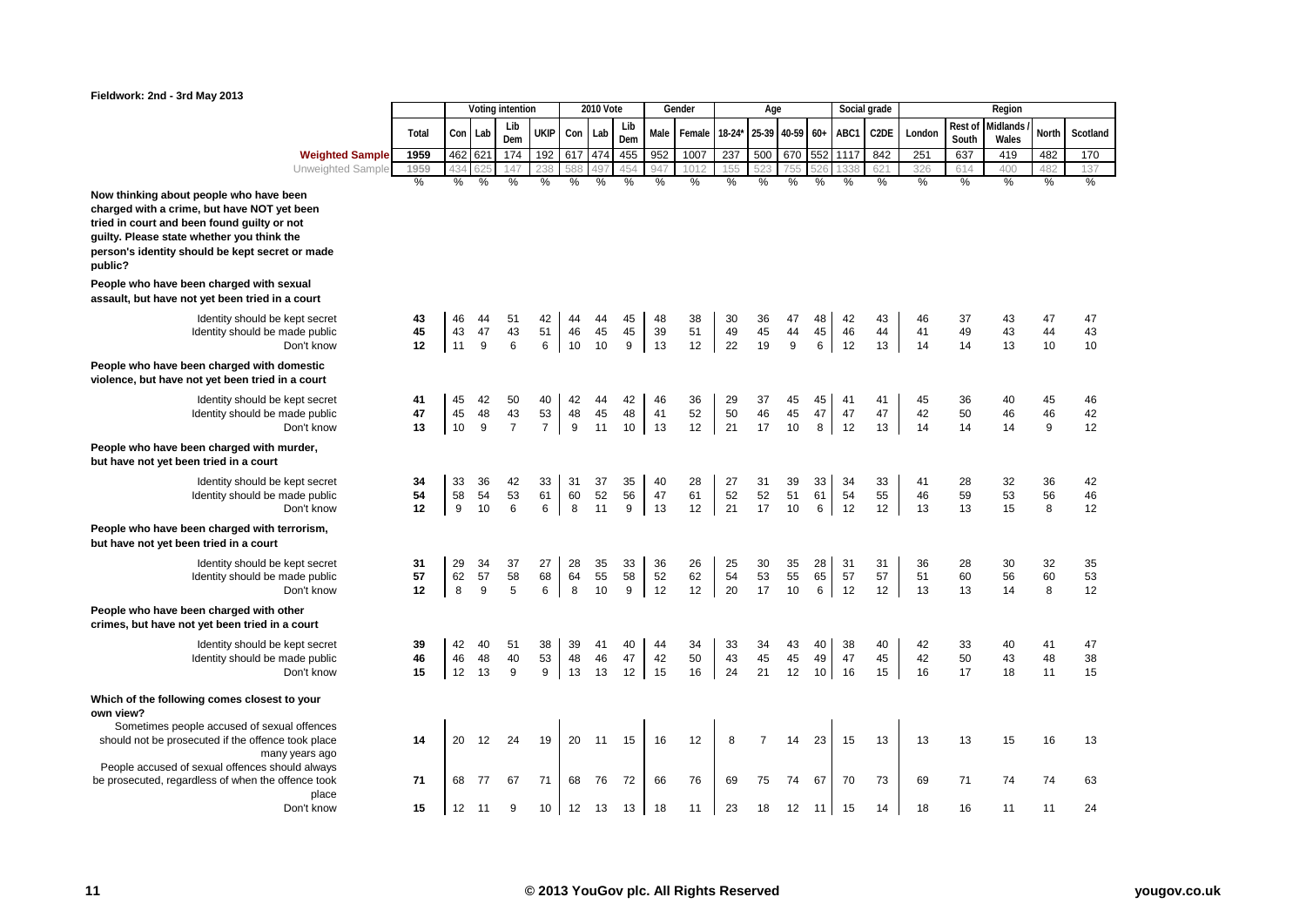

|                        |       |         |   | Voting intention |                  |         | 2010 Vote |            |              | Gender                                                     |     | Age |   |      |                  | Social grade |          |       | Region                      |       |          |
|------------------------|-------|---------|---|------------------|------------------|---------|-----------|------------|--------------|------------------------------------------------------------|-----|-----|---|------|------------------|--------------|----------|-------|-----------------------------|-------|----------|
|                        | Total | Con Lab |   | Lib<br>Dem       | <b>UKIP</b>      | Con Lab |           | Lib<br>Dem |              | Male   Female   18-24*   25-39   40-59   60+   ABC1   C2DE |     |     |   |      |                  |              | London I | South | Rest of Midlands /<br>Wales | North | Scotland |
| <b>Weighted Sample</b> | 1959  | 462 621 |   | 174              | 192 <sub>1</sub> | 617 474 |           | 455        | 952          | 1007                                                       | 237 |     |   |      | 500 670 552 1117 | 842          | 251      | 637   | 419                         | 482   | 170      |
| Unweighted Sample      | 1959  |         |   | $\Delta$         |                  | 588     | 497       | 454        | $Q_{\Delta}$ | 1012                                                       | 155 | トワイ |   |      |                  | 621          | 326      | 614   | 400                         | 482   | 137      |
|                        | %     | %       | % | %                |                  | ℅       | %         |            |              | %                                                          | %   | %   | % | $\%$ | %                | %            |          |       | %                           |       | %        |

**Now thinking about people who have been charged with a crime, but have NOT yet been tried in court and been found guilty or not guilty. Please state whether you think the person's identity should be kept secret or made public?**

**People who have been charged with sexual assault, but have not yet been tried in a court**

> Identity should be kept secret Identity should be made public<br>Don't know

**People who have been charged with domestic violence, but have not yet been tried in a court**

> Identity should be kept secret **Identity should be made public**

**People who have been charged with murder, but have not yet been tried in a court**

> Identity should be kept secret Identity should be made public<br>Don't know

## **People who have been charged with terrorism, but have not yet been tried in a court**

Identity should be kept secret Identity should be made public<br>Don't know

**People who have been charged with other crimes, but have not yet been tried in a court**

> Identity should be kept secret Identity should be made public<br>Don't know

#### **Which of the following comes closest to your own view?**

Sometimes people accused of sexual offences should not be prosecuted if the offence took place many years ago People accused of sexual offences should always be prosecuted, regardless of when the offence took place

| exual<br>a court                        |                |                |                            |                            |                 |                                              |                |                            |                |                |                                               |                |                                               |                                              |                |                |                |                |                |                |                |
|-----------------------------------------|----------------|----------------|----------------------------|----------------------------|-----------------|----------------------------------------------|----------------|----------------------------|----------------|----------------|-----------------------------------------------|----------------|-----------------------------------------------|----------------------------------------------|----------------|----------------|----------------|----------------|----------------|----------------|----------------|
| kept secret<br>ade public<br>Don't know | 43<br>45<br>12 | 46<br>43<br>11 | 44<br>47<br>9              | 51<br>43<br>6              | 42<br>51<br>6   | 44<br>46<br>10                               | 44<br>45<br>10 | 45<br>45<br>9              | 48<br>39<br>13 | 38<br>51<br>12 | 30<br>49<br>22                                | 36<br>45<br>19 | 47<br>44<br>9                                 | 48<br>45<br>6                                | 42<br>46<br>12 | 43<br>44<br>13 | 46<br>41<br>14 | 37<br>49<br>14 | 43<br>43<br>13 | 47<br>44<br>10 | 47<br>43<br>10 |
| omestic<br>າ a court                    |                |                |                            |                            |                 |                                              |                |                            |                |                |                                               |                |                                               |                                              |                |                |                |                |                |                |                |
| kept secret<br>ade public<br>Don't know | 41<br>47<br>13 | 45<br>45<br>10 | 42<br>48<br>$\overline{9}$ | 50<br>43<br>$\overline{7}$ | 40<br>53<br>7   | 42<br>$\begin{array}{c} 48 \\ 9 \end{array}$ | 44<br>45<br>11 | 42<br>${\bf 48}$<br>10     | 46<br>41<br>13 | 36<br>52<br>12 | 29<br>50<br>21                                | 37<br>46<br>17 | 45<br>45<br>10                                | 45<br>47<br>8                                | 41<br>47<br>12 | 41<br>47<br>13 | 45<br>42<br>14 | 36<br>50<br>14 | 40<br>46<br>14 | 45<br>46<br>9  | 46<br>42<br>12 |
| nurder,                                 |                |                |                            |                            |                 |                                              |                |                            |                |                |                                               |                |                                               |                                              |                |                |                |                |                |                |                |
| kept secret<br>ade public<br>Don't know | 34<br>54<br>12 | 33<br>58<br>9  | 36<br>54<br>10             | 42<br>53<br>6              | 33<br>61<br>6   | 31<br>60<br>8                                | 37<br>52<br>11 | 35<br>56<br>9              | 40<br>47<br>13 | 28<br>61<br>12 | 27<br>52<br>21                                | 31<br>52<br>17 | 39<br>51<br>10                                | 33<br>61<br>6                                | 34<br>54<br>12 | 33<br>55<br>12 | 41<br>46<br>13 | 28<br>59<br>13 | 32<br>53<br>15 | 36<br>56<br>8  | 42<br>46<br>12 |
| errorism,                               |                |                |                            |                            |                 |                                              |                |                            |                |                |                                               |                |                                               |                                              |                |                |                |                |                |                |                |
| kept secret<br>ade public<br>Don't know | 31<br>57<br>12 | 29<br>62<br>8  | 34<br>57<br>9              | 37<br>58<br>5              | 27<br>68<br>6   | 28<br>64<br>8                                | 35<br>55<br>10 | 33<br>58<br>$\overline{9}$ | 36<br>52<br>12 | 26<br>62<br>12 | $\begin{array}{c} 25 \\ 54 \end{array}$<br>20 | 30<br>53<br>17 | $\begin{array}{c} 35 \\ 55 \end{array}$<br>10 | $\begin{array}{c} 28 \\ 65 \\ 6 \end{array}$ | 31<br>57<br>12 | 31<br>57<br>12 | 36<br>51<br>13 | 28<br>60<br>13 | 30<br>56<br>14 | 32<br>60<br>8  | 35<br>53<br>12 |
| ther<br>a court                         |                |                |                            |                            |                 |                                              |                |                            |                |                |                                               |                |                                               |                                              |                |                |                |                |                |                |                |
| kept secret<br>ade public<br>Don't know | 39<br>46<br>15 | 42<br>46<br>12 | 40<br>48<br>13             | 51<br>40<br>9              | 38<br>53<br>9   | 39<br>48<br>13                               | 41<br>46<br>13 | 40<br>47<br>12             | 44<br>42<br>15 | 34<br>50<br>16 | 33<br>43<br>24                                | 34<br>45<br>21 | 43<br>45<br>12                                | 40<br>49<br>10                               | 38<br>47<br>16 | 40<br>45<br>15 | 42<br>42<br>16 | 33<br>50<br>17 | 40<br>43<br>18 | 41<br>48<br>11 | 47<br>38<br>15 |
| to your                                 |                |                |                            |                            |                 |                                              |                |                            |                |                |                                               |                |                                               |                                              |                |                |                |                |                |                |                |
| al offences<br>took place<br>years ago  | 14             | 20             | 12                         | 24                         | 19              | 20                                           | 11             | 15                         | 16             | 12             | 8                                             | 7              | 14                                            | 23                                           | 15             | 13             | 13             | 13             | 15             | 16             | 13             |
| ould always<br>ffence took<br>place     | 71             | 68             | 77                         | 67                         | 71              | 68                                           | 76             | 72                         | 66             | 76             | 69                                            | 75             | 74                                            | 67                                           | 70             | 73             | 69             | 71             | 74             | 74             | 63             |
| Don't know                              | 15             | 12             | 11                         | 9                          | 10 <sup>1</sup> | 12                                           | 13             | 13                         | 18             | 11             | 23                                            | 18             | 12                                            | 11                                           | 15             | 14             | 18             | 16             | 11             | 11             | 24             |